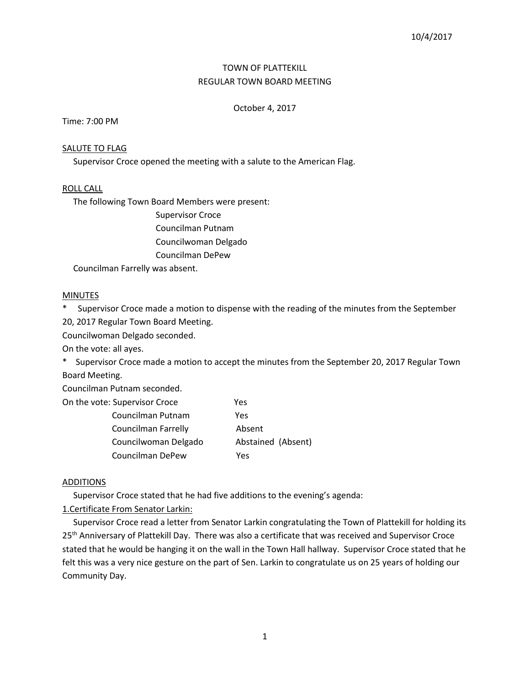# TOWN OF PLATTEKILL REGULAR TOWN BOARD MEETING

## October 4, 2017

Time: 7:00 PM

### SALUTE TO FLAG

Supervisor Croce opened the meeting with a salute to the American Flag.

## ROLL CALL

The following Town Board Members were present:

Supervisor Croce Councilman Putnam Councilwoman Delgado Councilman DePew

Councilman Farrelly was absent.

### **MINUTES**

\* Supervisor Croce made a motion to dispense with the reading of the minutes from the September 20, 2017 Regular Town Board Meeting.

Councilwoman Delgado seconded.

On the vote: all ayes.

\* Supervisor Croce made a motion to accept the minutes from the September 20, 2017 Regular Town Board Meeting.

Councilman Putnam seconded.

| On the vote: Supervisor Croce | Yes                |
|-------------------------------|--------------------|
| Councilman Putnam             | Yes                |
| Councilman Farrelly           | Absent             |
| Councilwoman Delgado          | Abstained (Absent) |
| Councilman DePew              | Yes                |

### ADDITIONS

Supervisor Croce stated that he had five additions to the evening's agenda:

1.Certificate From Senator Larkin:

 Supervisor Croce read a letter from Senator Larkin congratulating the Town of Plattekill for holding its 25<sup>th</sup> Anniversary of Plattekill Day. There was also a certificate that was received and Supervisor Croce stated that he would be hanging it on the wall in the Town Hall hallway. Supervisor Croce stated that he felt this was a very nice gesture on the part of Sen. Larkin to congratulate us on 25 years of holding our Community Day.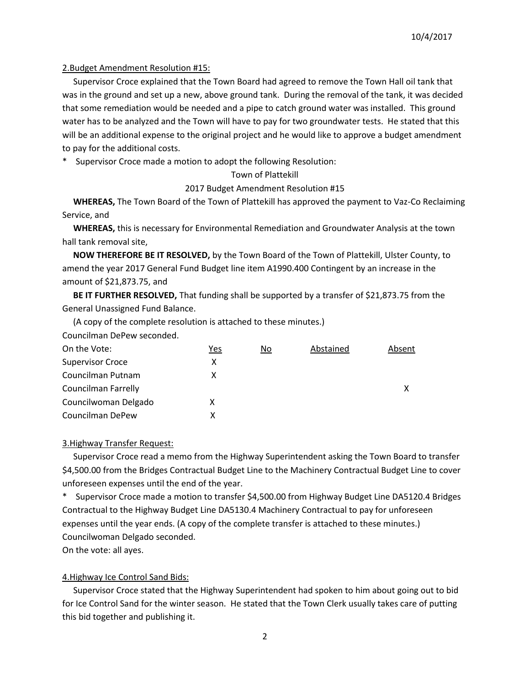## 2.Budget Amendment Resolution #15:

 Supervisor Croce explained that the Town Board had agreed to remove the Town Hall oil tank that was in the ground and set up a new, above ground tank. During the removal of the tank, it was decided that some remediation would be needed and a pipe to catch ground water was installed. This ground water has to be analyzed and the Town will have to pay for two groundwater tests. He stated that this will be an additional expense to the original project and he would like to approve a budget amendment to pay for the additional costs.

\* Supervisor Croce made a motion to adopt the following Resolution:

## Town of Plattekill

## 2017 Budget Amendment Resolution #15

 **WHEREAS,** The Town Board of the Town of Plattekill has approved the payment to Vaz-Co Reclaiming Service, and

 **WHEREAS,** this is necessary for Environmental Remediation and Groundwater Analysis at the town hall tank removal site,

 **NOW THEREFORE BE IT RESOLVED,** by the Town Board of the Town of Plattekill, Ulster County, to amend the year 2017 General Fund Budget line item A1990.400 Contingent by an increase in the amount of \$21,873.75, and

**BE IT FURTHER RESOLVED,** That funding shall be supported by a transfer of \$21,873.75 from the General Unassigned Fund Balance.

(A copy of the complete resolution is attached to these minutes.)

Councilman DePew seconded.

| On the Vote:               | Yes | No | Abstained | Absent |
|----------------------------|-----|----|-----------|--------|
| <b>Supervisor Croce</b>    | x   |    |           |        |
| Councilman Putnam          | x   |    |           |        |
| <b>Councilman Farrelly</b> |     |    |           | х      |
| Councilwoman Delgado       | х   |    |           |        |
| Councilman DePew           |     |    |           |        |

## 3.Highway Transfer Request:

 Supervisor Croce read a memo from the Highway Superintendent asking the Town Board to transfer \$4,500.00 from the Bridges Contractual Budget Line to the Machinery Contractual Budget Line to cover unforeseen expenses until the end of the year.

Supervisor Croce made a motion to transfer \$4,500.00 from Highway Budget Line DA5120.4 Bridges Contractual to the Highway Budget Line DA5130.4 Machinery Contractual to pay for unforeseen expenses until the year ends. (A copy of the complete transfer is attached to these minutes.) Councilwoman Delgado seconded.

On the vote: all ayes.

## 4.Highway Ice Control Sand Bids:

 Supervisor Croce stated that the Highway Superintendent had spoken to him about going out to bid for Ice Control Sand for the winter season. He stated that the Town Clerk usually takes care of putting this bid together and publishing it.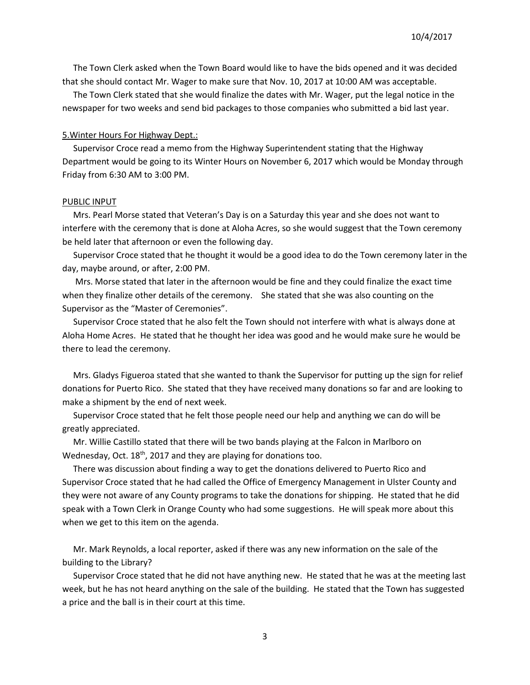The Town Clerk asked when the Town Board would like to have the bids opened and it was decided that she should contact Mr. Wager to make sure that Nov. 10, 2017 at 10:00 AM was acceptable.

 The Town Clerk stated that she would finalize the dates with Mr. Wager, put the legal notice in the newspaper for two weeks and send bid packages to those companies who submitted a bid last year.

#### 5.Winter Hours For Highway Dept.:

 Supervisor Croce read a memo from the Highway Superintendent stating that the Highway Department would be going to its Winter Hours on November 6, 2017 which would be Monday through Friday from 6:30 AM to 3:00 PM.

#### PUBLIC INPUT

 Mrs. Pearl Morse stated that Veteran's Day is on a Saturday this year and she does not want to interfere with the ceremony that is done at Aloha Acres, so she would suggest that the Town ceremony be held later that afternoon or even the following day.

 Supervisor Croce stated that he thought it would be a good idea to do the Town ceremony later in the day, maybe around, or after, 2:00 PM.

 Mrs. Morse stated that later in the afternoon would be fine and they could finalize the exact time when they finalize other details of the ceremony. She stated that she was also counting on the Supervisor as the "Master of Ceremonies".

 Supervisor Croce stated that he also felt the Town should not interfere with what is always done at Aloha Home Acres. He stated that he thought her idea was good and he would make sure he would be there to lead the ceremony.

 Mrs. Gladys Figueroa stated that she wanted to thank the Supervisor for putting up the sign for relief donations for Puerto Rico. She stated that they have received many donations so far and are looking to make a shipment by the end of next week.

 Supervisor Croce stated that he felt those people need our help and anything we can do will be greatly appreciated.

 Mr. Willie Castillo stated that there will be two bands playing at the Falcon in Marlboro on Wednesday, Oct. 18<sup>th</sup>, 2017 and they are playing for donations too.

 There was discussion about finding a way to get the donations delivered to Puerto Rico and Supervisor Croce stated that he had called the Office of Emergency Management in Ulster County and they were not aware of any County programs to take the donations for shipping. He stated that he did speak with a Town Clerk in Orange County who had some suggestions. He will speak more about this when we get to this item on the agenda.

 Mr. Mark Reynolds, a local reporter, asked if there was any new information on the sale of the building to the Library?

 Supervisor Croce stated that he did not have anything new. He stated that he was at the meeting last week, but he has not heard anything on the sale of the building. He stated that the Town has suggested a price and the ball is in their court at this time.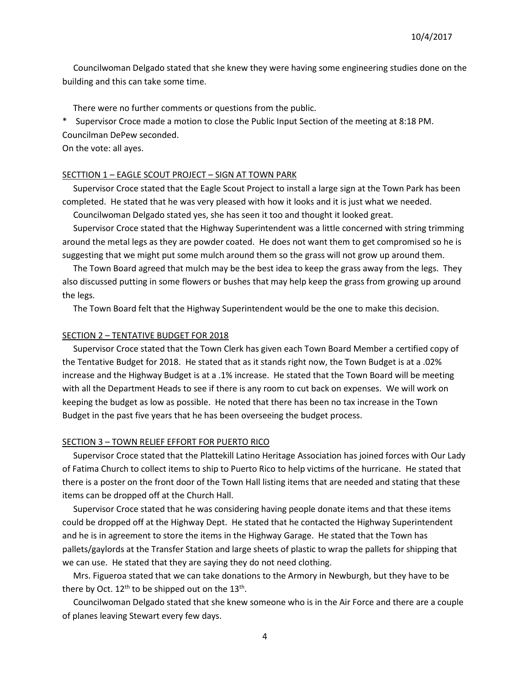Councilwoman Delgado stated that she knew they were having some engineering studies done on the building and this can take some time.

There were no further comments or questions from the public.

\* Supervisor Croce made a motion to close the Public Input Section of the meeting at 8:18 PM. Councilman DePew seconded.

On the vote: all ayes.

### SECTTION 1 – EAGLE SCOUT PROJECT – SIGN AT TOWN PARK

 Supervisor Croce stated that the Eagle Scout Project to install a large sign at the Town Park has been completed. He stated that he was very pleased with how it looks and it is just what we needed.

Councilwoman Delgado stated yes, she has seen it too and thought it looked great.

 Supervisor Croce stated that the Highway Superintendent was a little concerned with string trimming around the metal legs as they are powder coated. He does not want them to get compromised so he is suggesting that we might put some mulch around them so the grass will not grow up around them.

 The Town Board agreed that mulch may be the best idea to keep the grass away from the legs. They also discussed putting in some flowers or bushes that may help keep the grass from growing up around the legs.

The Town Board felt that the Highway Superintendent would be the one to make this decision.

#### SECTION 2 – TENTATIVE BUDGET FOR 2018

 Supervisor Croce stated that the Town Clerk has given each Town Board Member a certified copy of the Tentative Budget for 2018. He stated that as it stands right now, the Town Budget is at a .02% increase and the Highway Budget is at a .1% increase. He stated that the Town Board will be meeting with all the Department Heads to see if there is any room to cut back on expenses. We will work on keeping the budget as low as possible. He noted that there has been no tax increase in the Town Budget in the past five years that he has been overseeing the budget process.

### SECTION 3 – TOWN RELIEF EFFORT FOR PUERTO RICO

 Supervisor Croce stated that the Plattekill Latino Heritage Association has joined forces with Our Lady of Fatima Church to collect items to ship to Puerto Rico to help victims of the hurricane. He stated that there is a poster on the front door of the Town Hall listing items that are needed and stating that these items can be dropped off at the Church Hall.

 Supervisor Croce stated that he was considering having people donate items and that these items could be dropped off at the Highway Dept. He stated that he contacted the Highway Superintendent and he is in agreement to store the items in the Highway Garage. He stated that the Town has pallets/gaylords at the Transfer Station and large sheets of plastic to wrap the pallets for shipping that we can use. He stated that they are saying they do not need clothing.

 Mrs. Figueroa stated that we can take donations to the Armory in Newburgh, but they have to be there by Oct. 12<sup>th</sup> to be shipped out on the 13<sup>th</sup>.

 Councilwoman Delgado stated that she knew someone who is in the Air Force and there are a couple of planes leaving Stewart every few days.